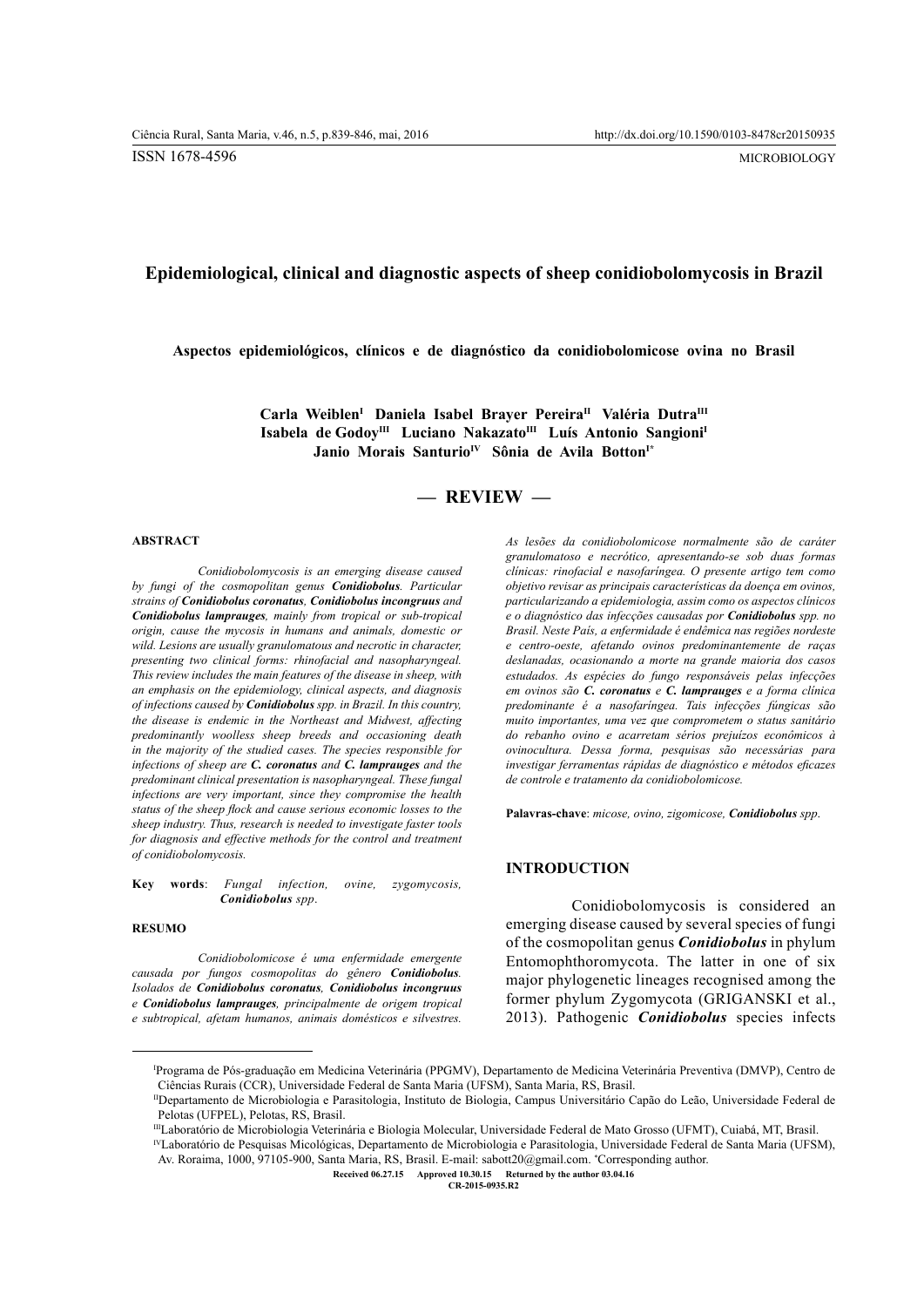MICROBIOLOGY

# **Epidemiological, clinical and diagnostic aspects of sheep conidiobolomycosis in Brazil**

**Aspectos epidemiológicos, clínicos e de diagnóstico da conidiobolomicose ovina no Brasil**

 $\boldsymbol{\mathrm{Carla\; Weiblen}^{\mathrm{I}}\;}$  Daniela Isabel Brayer Pereira<sup>II</sup> Valéria Dutra<sup>III</sup> Isabela de Godoy<sup>m</sup> Luciano Nakazato<sup>m</sup> Luís Antonio Sangioni<sup>I</sup> **Janio Morais SanturioIV Sônia de Avila BottonI\***

# **— REVIEW —**

## **ABSTRACT**

*Conidiobolomycosis is an emerging disease caused by fungi of the cosmopolitan genus Conidiobolus. Particular strains of Conidiobolus coronatus, Conidiobolus incongruus and Conidiobolus lamprauges, mainly from tropical or sub-tropical origin, cause the mycosis in humans and animals, domestic or wild. Lesions are usually granulomatous and necrotic in character, presenting two clinical forms: rhinofacial and nasopharyngeal. This review includes the main features of the disease in sheep, with an emphasis on the epidemiology, clinical aspects, and diagnosis of infections caused by Conidiobolus spp. in Brazil. In this country, the disease is endemic in the Northeast and Midwest, affecting predominantly woolless sheep breeds and occasioning death in the majority of the studied cases. The species responsible for infections of sheep are C. coronatus and C. lamprauges and the predominant clinical presentation is nasopharyngeal. These fungal infections are very important, since they compromise the health status of the sheep flock and cause serious economic losses to the sheep industry. Thus, research is needed to investigate faster tools for diagnosis and effective methods for the control and treatment of conidiobolomycosis.*

**Key words**: *Fungal infection, ovine, zygomycosis, Conidiobolus spp*.

#### **RESUMO**

*Conidiobolomicose é uma enfermidade emergente causada por fungos cosmopolitas do gênero Conidiobolus. Isolados de Conidiobolus coronatus, Conidiobolus incongruus e Conidiobolus lamprauges, principalmente de origem tropical e subtropical, afetam humanos, animais domésticos e silvestres.* 

*As lesões da conidiobolomicose normalmente são de caráter granulomatoso e necrótico, apresentando-se sob duas formas clínicas: rinofacial e nasofaríngea. O presente artigo tem como objetivo revisar as principais características da doença em ovinos, particularizando a epidemiologia, assim como os aspectos clínicos e o diagnóstico das infecções causadas por Conidiobolus spp. no Brasil. Neste País, a enfermidade é endêmica nas regiões nordeste e centro-oeste, afetando ovinos predominantemente de raças deslanadas, ocasionando a morte na grande maioria dos casos estudados. As espécies do fungo responsáveis pelas infecções em ovinos são C. coronatus e C. lamprauges e a forma clínica predominante é a nasofaríngea. Tais infecções fúngicas são muito importantes, uma vez que comprometem o status sanitário do rebanho ovino e acarretam sérios prejuízos econômicos à ovinocultura. Dessa forma, pesquisas são necessárias para investigar ferramentas rápidas de diagnóstico e métodos eficazes de controle e tratamento da conidiobolomicose.*

**Palavras-chave**: *micose, ovino, zigomicose, Conidiobolus spp*.

# **INTRODUCTION**

Conidiobolomycosis is considered an emerging disease caused by several species of fungi of the cosmopolitan genus *Conidiobolus* in phylum Entomophthoromycota. The latter in one of six major phylogenetic lineages recognised among the former phylum Zygomycota (GRIGANSKI et al., 2013). Pathogenic *Conidiobolus* species infects

**CI**. **CI**. **CI**. **CI**. **CI**. **CI**. **CI. CI. CI. CI. CI. CI. CI. CI. CI. CI. CI. CI. CI. CI. CI. CI. CI. CI. CI. CI. CI. CI. CI. CI. CI. CI. CI. CI. CI. CI. CI. Received 06.27.15 Approved 10.30.15 Returned by the author 03.04.16**

**CR-2015-0935.R2**

I Programa de Pós-graduação em Medicina Veterinária (PPGMV), Departamento de Medicina Veterinária Preventiva (DMVP), Centro de Ciências Rurais (CCR), Universidade Federal de Santa Maria (UFSM), Santa Maria, RS, Brasil.

IIDepartamento de Microbiologia e Parasitologia, Instituto de Biologia, Campus Universitário Capão do Leão, Universidade Federal de Pelotas (UFPEL), Pelotas, RS, Brasil.

IIILaboratório de Microbiologia Veterinária e Biologia Molecular, Universidade Federal de Mato Grosso (UFMT), Cuiabá, MT, Brasil.

IVLaboratório de Pesquisas Micológicas, Departamento de Microbiologia e Parasitologia, Universidade Federal de Santa Maria (UFSM), Av. Roraima, 1000, 97105-900, Santa Maria, RS, Brasil. E-mail: sabott20@gmail.com. \* Corresponding author.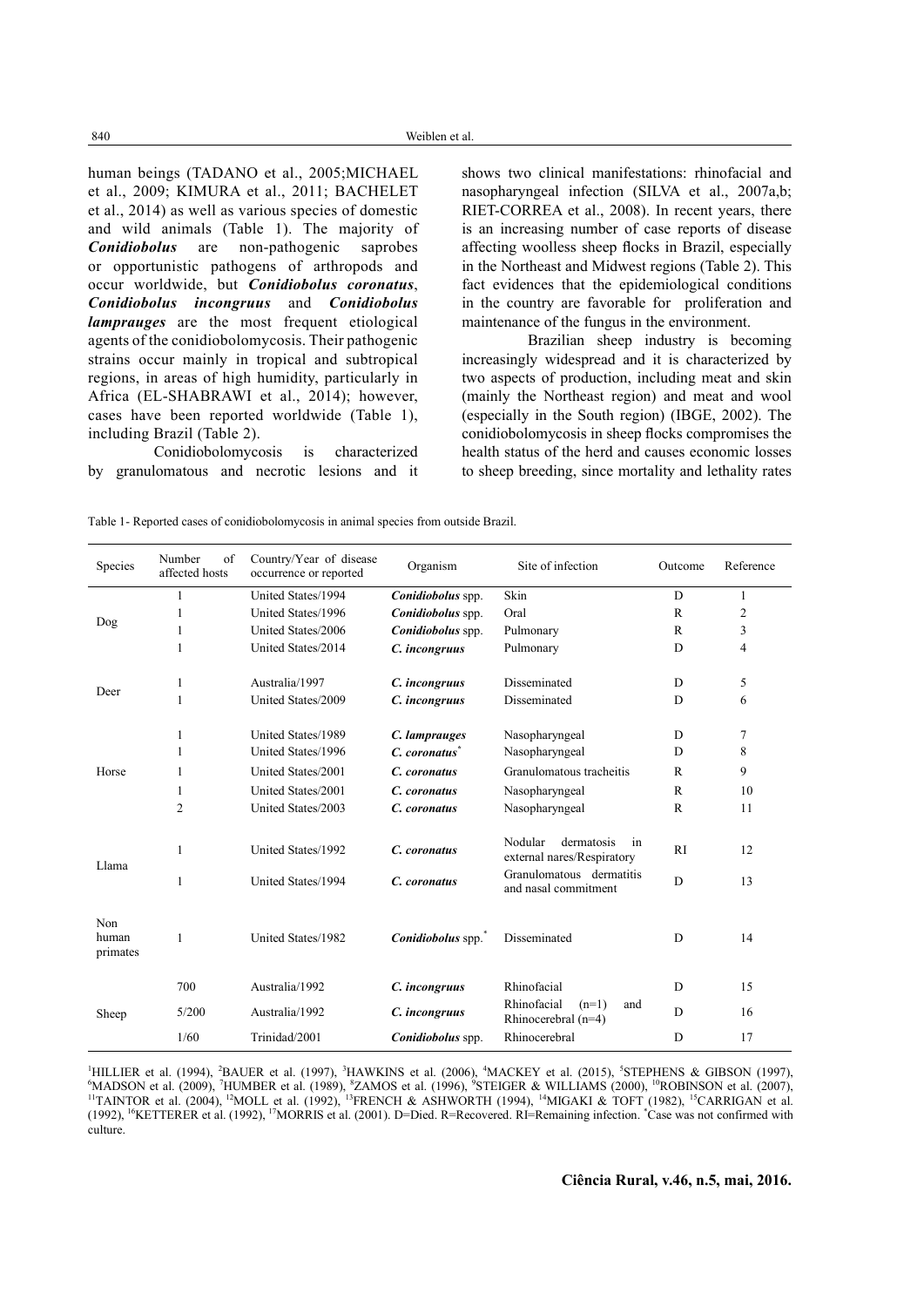human beings (TADANO et al., 2005;MICHAEL et al., 2009; KIMURA et al., 2011; BACHELET et al., 2014) as well as various species of domestic and wild animals (Table 1). The majority of *Conidiobolus* are non-pathogenic saprobes or opportunistic pathogens of arthropods and occur worldwide, but *Conidiobolus coronatus*, *Conidiobolus incongruus* and *Conidiobolus lamprauges* are the most frequent etiological agents of the conidiobolomycosis. Their pathogenic strains occur mainly in tropical and subtropical regions, in areas of high humidity, particularly in Africa (EL-SHABRAWI et al., 2014); however, cases have been reported worldwide (Table 1), including Brazil (Table 2).

Conidiobolomycosis is characterized by granulomatous and necrotic lesions and it shows two clinical manifestations: rhinofacial and nasopharyngeal infection (SILVA et al., 2007a,b; RIET-CORREA et al., 2008). In recent years, there is an increasing number of case reports of disease affecting woolless sheep flocks in Brazil, especially in the Northeast and Midwest regions (Table 2). This fact evidences that the epidemiological conditions in the country are favorable for proliferation and maintenance of the fungus in the environment.

Brazilian sheep industry is becoming increasingly widespread and it is characterized by two aspects of production, including meat and skin (mainly the Northeast region) and meat and wool (especially in the South region) (IBGE, 2002). The conidiobolomycosis in sheep flocks compromises the health status of the herd and causes economic losses to sheep breeding, since mortality and lethality rates

| Table 1- Reported cases of conidiobolomycosis in animal species from outside Brazil. |  |  |  |
|--------------------------------------------------------------------------------------|--|--|--|
|                                                                                      |  |  |  |
|                                                                                      |  |  |  |

| Species                  | Number<br>of<br>affected hosts | Country/Year of disease<br>occurrence or reported | Organism                  | Site of infection                                         | Outcome      | Reference |
|--------------------------|--------------------------------|---------------------------------------------------|---------------------------|-----------------------------------------------------------|--------------|-----------|
| Dog                      |                                | United States/1994                                | Conidiobolus spp.         | Skin                                                      | D            | 1         |
|                          |                                | United States/1996                                | Conidiobolus spp.         | Oral                                                      | $\mathbb{R}$ | 2         |
|                          | 1                              | United States/2006                                | Conidiobolus spp.         | Pulmonary                                                 | R            | 3         |
|                          | 1                              | United States/2014                                | C. incongruus             | Pulmonary                                                 | D            | 4         |
|                          |                                |                                                   |                           |                                                           |              |           |
| Deer                     | 1                              | Australia/1997                                    | C. incongruus             | Disseminated                                              | D            | 5         |
|                          |                                | United States/2009                                | C. incongruus             | Disseminated                                              | D            | 6         |
|                          |                                |                                                   |                           |                                                           |              |           |
|                          | 1                              | United States/1989                                | C. lamprauges             | Nasopharyngeal                                            | D            | 7         |
|                          | 1                              | United States/1996                                | C. coronatus <sup>*</sup> | Nasopharyngeal                                            | D            | 8         |
| Horse                    |                                | United States/2001                                | C. coronatus              | Granulomatous tracheitis                                  | R            | 9         |
|                          | 1                              | United States/2001                                | C. coronatus              | Nasopharyngeal                                            | $\mathbb{R}$ | 10        |
|                          | $\overline{2}$                 | United States/2003                                | C. coronatus              | Nasopharyngeal                                            | $\mathbb{R}$ | 11        |
|                          |                                |                                                   |                           |                                                           |              |           |
| Llama                    | 1                              | United States/1992                                | C. coronatus              | Nodular<br>dermatosis<br>in<br>external nares/Respiratory | RI           | 12        |
|                          | 1                              | United States/1994                                | C. coronatus              | Granulomatous dermatitis<br>and nasal commitment          | D            | 13        |
| Non<br>human<br>primates | 1                              | United States/1982                                | Conidiobolus spp.         | Disseminated                                              | D            | 14        |
|                          | 700                            | Australia/1992                                    | C. incongruus             | Rhinofacial                                               | D            | 15        |
| Sheep                    | 5/200                          | Australia/1992                                    | C. incongruus             | Rhinofacial<br>$(n=1)$<br>and<br>Rhinocerebral (n=4)      | D            | 16        |
|                          | 1/60                           | Trinidad/2001                                     | Conidiobolus spp.         | Rhinocerebral                                             | D            | 17        |

<sup>1</sup>HILLIER et al. (1994), <sup>2</sup>BAUER et al. (1997), <sup>3</sup>HAWKINS et al. (2006), <sup>4</sup>MACKEY et al. (2015), <sup>5</sup>STEPHENS & GIBSON (1997),<br><sup>6</sup>MADSON et al. (2009), <sup>7</sup>HUMBER et al. (1989), <sup>8</sup>ZAMOS et al. (1996), <sup>9</sup>STEIGER & WILLI <sup>11</sup>TAINTOR et al. (2004), <sup>12</sup>MOLL et al. (1992), <sup>13</sup>FRENCH & ASHWORTH (1994), <sup>14</sup>MIGAKI & TOFT (1982), <sup>15</sup>CARRIGAN et al. (1992), <sup>16</sup>KETTERER et al. (1992), <sup>17</sup>MORRIS et al. (2001). D=Died. R=Recovered. RI=Remaining infection. <sup>\*</sup>Case was not confirmed with culture.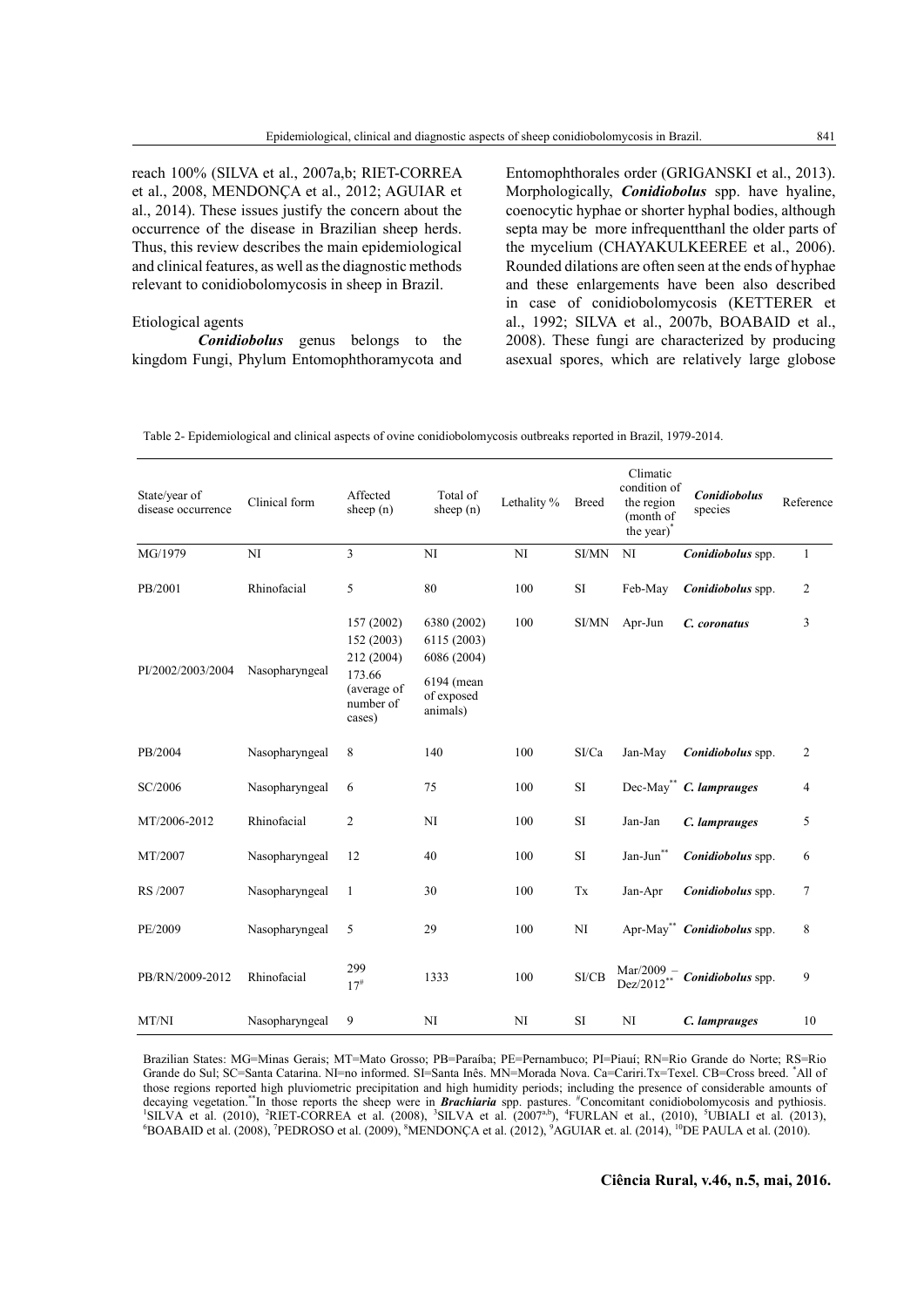reach 100% (SILVA et al., 2007a,b; RIET-CORREA et al., 2008, MENDONÇA et al., 2012; AGUIAR et al., 2014). These issues justify the concern about the occurrence of the disease in Brazilian sheep herds. Thus, this review describes the main epidemiological and clinical features, as well as the diagnostic methods relevant to conidiobolomycosis in sheep in Brazil.

### Etiological agents

*Conidiobolus* genus belongs to the kingdom Fungi, Phylum Entomophthoramycota and Entomophthorales order (GRIGANSKI et al., 2013). Morphologically, *Conidiobolus* spp. have hyaline, coenocytic hyphae or shorter hyphal bodies, although septa may be more infrequentthanl the older parts of the mycelium (CHAYAKULKEEREE et al., 2006). Rounded dilations are often seen at the ends of hyphae and these enlargements have been also described in case of conidiobolomycosis (KETTERER et al., 1992; SILVA et al., 2007b, BOABAID et al., 2008). These fungi are characterized by producing asexual spores, which are relatively large globose

Table 2- Epidemiological and clinical aspects of ovine conidiobolomycosis outbreaks reported in Brazil, 1979-2014.

| State/year of<br>disease occurrence | Clinical form  | Affected<br>sheep $(n)$                                                                | Total of<br>sheep $(n)$                                                           | Lethality % | <b>Breed</b> | Climatic<br>condition of<br>the region<br>(month of<br>the year) <sup>*</sup> | <b>Conidiobolus</b><br>species     | Reference      |
|-------------------------------------|----------------|----------------------------------------------------------------------------------------|-----------------------------------------------------------------------------------|-------------|--------------|-------------------------------------------------------------------------------|------------------------------------|----------------|
| MG/1979                             | NI             | $\overline{3}$                                                                         | NI                                                                                | NI          | SI/MN        | NI                                                                            | Conidiobolus spp.                  | $\mathbf{1}$   |
| PB/2001                             | Rhinofacial    | 5                                                                                      | 80                                                                                | 100         | SI           | Feb-May                                                                       | Conidiobolus spp.                  | $\overline{2}$ |
| PI/2002/2003/2004                   | Nasopharyngeal | 157 (2002)<br>152 (2003)<br>212 (2004)<br>173.66<br>(average of<br>number of<br>cases) | 6380 (2002)<br>6115 (2003)<br>6086 (2004)<br>6194 (mean<br>of exposed<br>animals) | 100         | SI/MN        | Apr-Jun                                                                       | C. coronatus                       | 3              |
| PB/2004                             | Nasopharyngeal | 8                                                                                      | 140                                                                               | 100         | SI/Ca        | Jan-May                                                                       | Conidiobolus spp.                  | $\overline{2}$ |
| SC/2006                             | Nasopharyngeal | 6                                                                                      | 75                                                                                | 100         | SI           |                                                                               | Dec-May** C. lamprauges            | $\overline{4}$ |
| MT/2006-2012                        | Rhinofacial    | $\overline{2}$                                                                         | NI                                                                                | 100         | SI           | Jan-Jan                                                                       | C. lamprauges                      | 5              |
| MT/2007                             | Nasopharyngeal | 12                                                                                     | 40                                                                                | 100         | SI           | Jan-Jun**                                                                     | Conidiobolus spp.                  | 6              |
| RS /2007                            | Nasopharyngeal | $\mathbf{1}$                                                                           | 30                                                                                | 100         | Tx           | Jan-Apr                                                                       | Conidiobolus spp.                  | 7              |
| PE/2009                             | Nasopharyngeal | 5                                                                                      | 29                                                                                | 100         | NI           |                                                                               | Apr-May** <i>Conidiobolus</i> spp. | 8              |
| PB/RN/2009-2012                     | Rhinofacial    | 299<br>$17^{#}$                                                                        | 1333                                                                              | 100         | SI/CB        | $Mar/2009 -$<br>$\mathrm{Dez}/2012^{**}$                                      | Conidiobolus spp.                  | 9              |
| MT/NI                               | Nasopharyngeal | 9                                                                                      | NI                                                                                | NI          | SI           | NI                                                                            | C. lamprauges                      | 10             |

Brazilian States: MG=Minas Gerais; MT=Mato Grosso; PB=Paraíba; PE=Pernambuco; PI=Piauí; RN=Rio Grande do Norte; RS=Rio Grande do Sul; SC=Santa Catarina. NI=no informed. SI=Santa Inês. MN=Morada Nova. Ca=Cariri.Tx=Texel. CB=Cross breed. \* All of those regions reported high pluviometric precipitation and high humidity periods; including the presence of considerable amounts of decaying vegetation.<sup>\*\*</sup>In those reports the sheep were in **Brachiaria** spp. pastures. <sup>#</sup>Concomitant conidiobolomycosis and pythiosis. <sup>1</sup>SILVA et al. (2010), <sup>2</sup>RIET-CORREA et al. (2008), <sup>3</sup>SILVA et al. (2007<sup>a,b</sup>), <sup>4</sup>FURLAN et al., (2010), <sup>5</sup>UBIALI et al. (2013), <sup>5</sup>BOABAID et al. (2008), <sup>7</sup>PEDROSO et al. (2009), <sup>8</sup>MENDONÇA et al. (2012), <sup>9</sup>AGUIAR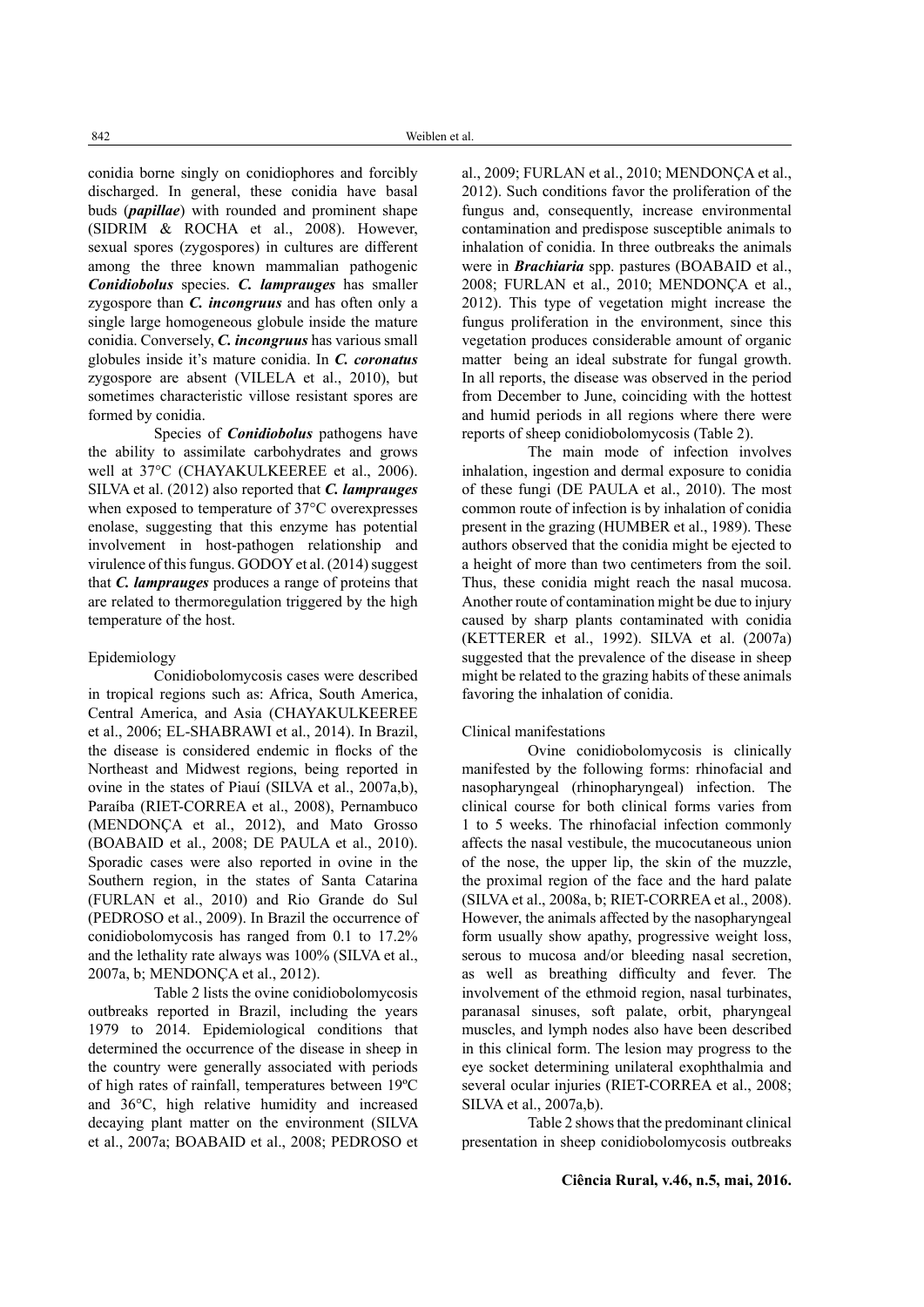conidia borne singly on conidiophores and forcibly discharged. In general, these conidia have basal buds (*papillae*) with rounded and prominent shape (SIDRIM & ROCHA et al., 2008). However, sexual spores (zygospores) in cultures are different among the three known mammalian pathogenic *Conidiobolus* species. *C. lamprauges* has smaller zygospore than *C. incongruus* and has often only a single large homogeneous globule inside the mature conidia. Conversely, *C. incongruus* has various small globules inside it's mature conidia. In *C. coronatus*  zygospore are absent (VILELA et al., 2010), but sometimes characteristic villose resistant spores are formed by conidia.

Species of *Conidiobolus* pathogens have the ability to assimilate carbohydrates and grows well at 37°C (CHAYAKULKEEREE et al., 2006). SILVA et al. (2012) also reported that *C. lamprauges*  when exposed to temperature of 37°C overexpresses enolase, suggesting that this enzyme has potential involvement in host-pathogen relationship and virulence of this fungus. GODOY et al. (2014) suggest that *C. lamprauges* produces a range of proteins that are related to thermoregulation triggered by the high temperature of the host.

### Epidemiology

Conidiobolomycosis cases were described in tropical regions such as: Africa, South America, Central America, and Asia (CHAYAKULKEEREE et al., 2006; EL-SHABRAWI et al., 2014). In Brazil, the disease is considered endemic in flocks of the Northeast and Midwest regions, being reported in ovine in the states of Piauí (SILVA et al., 2007a,b), Paraíba (RIET-CORREA et al., 2008), Pernambuco (MENDONÇA et al., 2012), and Mato Grosso (BOABAID et al., 2008; DE PAULA et al., 2010). Sporadic cases were also reported in ovine in the Southern region, in the states of Santa Catarina (FURLAN et al., 2010) and Rio Grande do Sul (PEDROSO et al., 2009). In Brazil the occurrence of conidiobolomycosis has ranged from 0.1 to 17.2% and the lethality rate always was 100% (SILVA et al., 2007a, b; MENDONÇA et al., 2012).

Table 2 lists the ovine conidiobolomycosis outbreaks reported in Brazil, including the years 1979 to 2014. Epidemiological conditions that determined the occurrence of the disease in sheep in the country were generally associated with periods of high rates of rainfall, temperatures between 19ºC and 36°C, high relative humidity and increased decaying plant matter on the environment (SILVA et al., 2007a; BOABAID et al., 2008; PEDROSO et

al., 2009; FURLAN et al., 2010; MENDONÇA et al., 2012). Such conditions favor the proliferation of the fungus and, consequently, increase environmental contamination and predispose susceptible animals to inhalation of conidia. In three outbreaks the animals were in *Brachiaria* spp. pastures (BOABAID et al., 2008; FURLAN et al., 2010; MENDONÇA et al., 2012). This type of vegetation might increase the fungus proliferation in the environment, since this vegetation produces considerable amount of organic matter being an ideal substrate for fungal growth. In all reports, the disease was observed in the period from December to June, coinciding with the hottest and humid periods in all regions where there were reports of sheep conidiobolomycosis (Table 2).

The main mode of infection involves inhalation, ingestion and dermal exposure to conidia of these fungi (DE PAULA et al., 2010). The most common route of infection is by inhalation of conidia present in the grazing (HUMBER et al., 1989). These authors observed that the conidia might be ejected to a height of more than two centimeters from the soil. Thus, these conidia might reach the nasal mucosa. Another route of contamination might be due to injury caused by sharp plants contaminated with conidia (KETTERER et al., 1992). SILVA et al. (2007a) suggested that the prevalence of the disease in sheep might be related to the grazing habits of these animals favoring the inhalation of conidia.

#### Clinical manifestations

Ovine conidiobolomycosis is clinically manifested by the following forms: rhinofacial and nasopharyngeal (rhinopharyngeal) infection. The clinical course for both clinical forms varies from 1 to 5 weeks. The rhinofacial infection commonly affects the nasal vestibule, the mucocutaneous union of the nose, the upper lip, the skin of the muzzle, the proximal region of the face and the hard palate (SILVA et al., 2008a, b; RIET-CORREA et al., 2008). However, the animals affected by the nasopharyngeal form usually show apathy, progressive weight loss, serous to mucosa and/or bleeding nasal secretion, as well as breathing difficulty and fever. The involvement of the ethmoid region, nasal turbinates, paranasal sinuses, soft palate, orbit, pharyngeal muscles, and lymph nodes also have been described in this clinical form. The lesion may progress to the eye socket determining unilateral exophthalmia and several ocular injuries (RIET-CORREA et al., 2008; SILVA et al., 2007a,b).

Table 2 shows that the predominant clinical presentation in sheep conidiobolomycosis outbreaks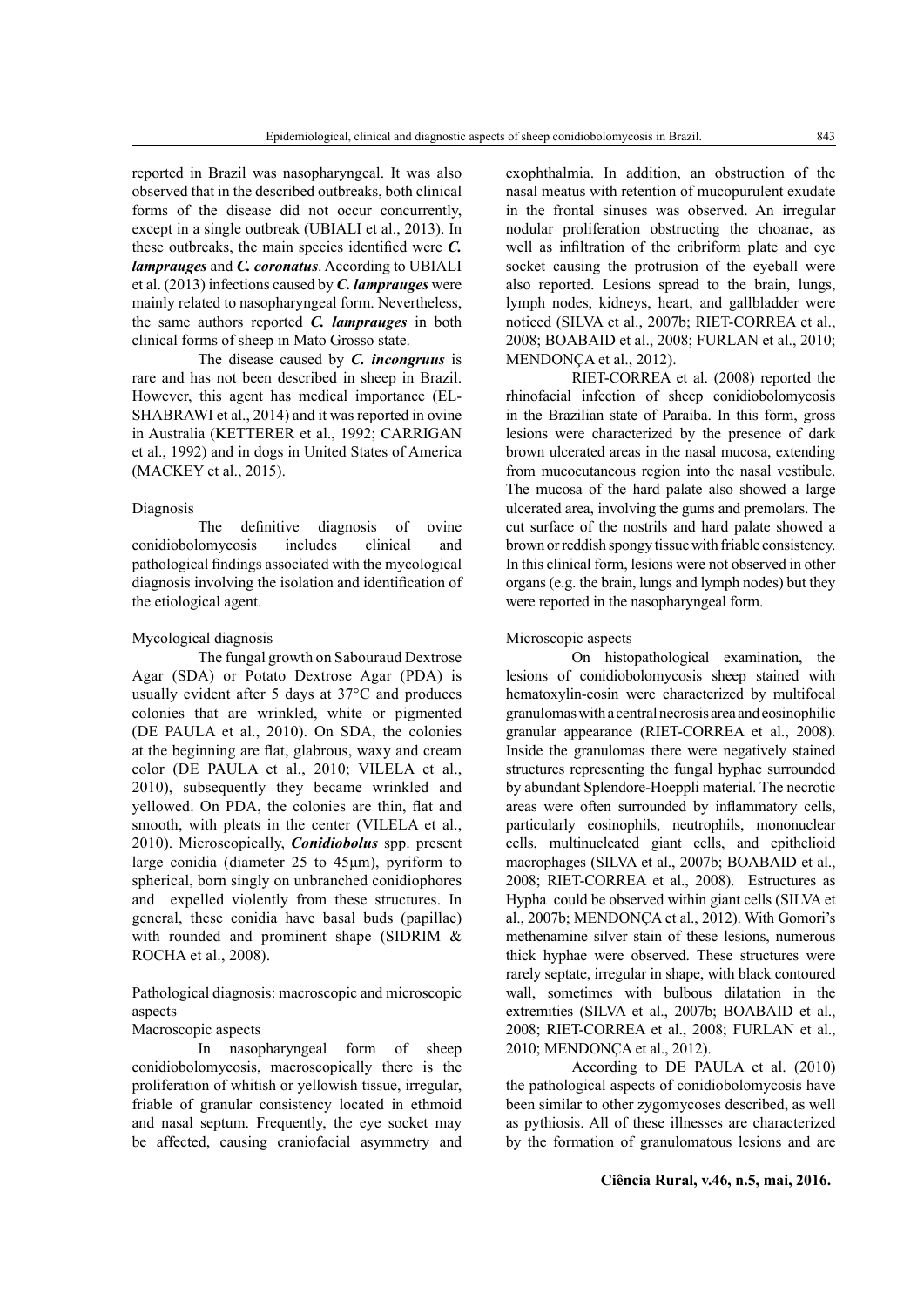reported in Brazil was nasopharyngeal. It was also observed that in the described outbreaks, both clinical forms of the disease did not occur concurrently, except in a single outbreak (UBIALI et al., 2013). In these outbreaks, the main species identified were *C. lamprauges* and *C. coronatus*. According to UBIALI et al. (2013) infections caused by *C. lamprauges* were mainly related to nasopharyngeal form. Nevertheless, the same authors reported *C. lamprauges* in both clinical forms of sheep in Mato Grosso state.

The disease caused by *C. incongruus* is rare and has not been described in sheep in Brazil. However, this agent has medical importance (EL-SHABRAWI et al., 2014) and it was reported in ovine in Australia (KETTERER et al., 1992; CARRIGAN et al., 1992) and in dogs in United States of America (MACKEY et al., 2015).

## Diagnosis

The definitive diagnosis of ovine conidiobolomycosis includes clinical and pathological findings associated with the mycological diagnosis involving the isolation and identification of the etiological agent.

## Mycological diagnosis

The fungal growth on Sabouraud Dextrose Agar (SDA) or Potato Dextrose Agar (PDA) is usually evident after 5 days at 37°C and produces colonies that are wrinkled, white or pigmented (DE PAULA et al., 2010). On SDA, the colonies at the beginning are flat, glabrous, waxy and cream color (DE PAULA et al., 2010; VILELA et al., 2010), subsequently they became wrinkled and yellowed. On PDA, the colonies are thin, flat and smooth, with pleats in the center (VILELA et al., 2010). Microscopically, *Conidiobolus* spp. present large conidia (diameter 25 to 45μm), pyriform to spherical, born singly on unbranched conidiophores and expelled violently from these structures. In general, these conidia have basal buds (papillae) with rounded and prominent shape (SIDRIM & ROCHA et al., 2008).

# Pathological diagnosis: macroscopic and microscopic aspects

# Macroscopic aspects

In nasopharyngeal form of sheep conidiobolomycosis, macroscopically there is the proliferation of whitish or yellowish tissue, irregular, friable of granular consistency located in ethmoid and nasal septum. Frequently, the eye socket may be affected, causing craniofacial asymmetry and exophthalmia. In addition, an obstruction of the nasal meatus with retention of mucopurulent exudate in the frontal sinuses was observed. An irregular nodular proliferation obstructing the choanae, as well as infiltration of the cribriform plate and eye socket causing the protrusion of the eyeball were also reported. Lesions spread to the brain, lungs, lymph nodes, kidneys, heart, and gallbladder were noticed (SILVA et al., 2007b; RIET-CORREA et al., 2008; BOABAID et al., 2008; FURLAN et al., 2010; MENDONÇA et al., 2012).

RIET-CORREA et al. (2008) reported the rhinofacial infection of sheep conidiobolomycosis in the Brazilian state of Paraíba. In this form, gross lesions were characterized by the presence of dark brown ulcerated areas in the nasal mucosa, extending from mucocutaneous region into the nasal vestibule. The mucosa of the hard palate also showed a large ulcerated area, involving the gums and premolars. The cut surface of the nostrils and hard palate showed a brown or reddish spongy tissue with friable consistency. In this clinical form, lesions were not observed in other organs (e.g. the brain, lungs and lymph nodes) but they were reported in the nasopharyngeal form.

### Microscopic aspects

On histopathological examination, the lesions of conidiobolomycosis sheep stained with hematoxylin-eosin were characterized by multifocal granulomas with a central necrosis area and eosinophilic granular appearance (RIET-CORREA et al., 2008). Inside the granulomas there were negatively stained structures representing the fungal hyphae surrounded by abundant Splendore-Hoeppli material. The necrotic areas were often surrounded by inflammatory cells, particularly eosinophils, neutrophils, mononuclear cells, multinucleated giant cells, and epithelioid macrophages (SILVA et al., 2007b; BOABAID et al., 2008; RIET-CORREA et al., 2008). Estructures as Hypha could be observed within giant cells (SILVA et al., 2007b; MENDONÇA et al., 2012). With Gomori's methenamine silver stain of these lesions, numerous thick hyphae were observed. These structures were rarely septate, irregular in shape, with black contoured wall, sometimes with bulbous dilatation in the extremities (SILVA et al., 2007b; BOABAID et al., 2008; RIET-CORREA et al., 2008; FURLAN et al., 2010; MENDONÇA et al., 2012).

According to DE PAULA et al. (2010) the pathological aspects of conidiobolomycosis have been similar to other zygomycoses described, as well as pythiosis. All of these illnesses are characterized by the formation of granulomatous lesions and are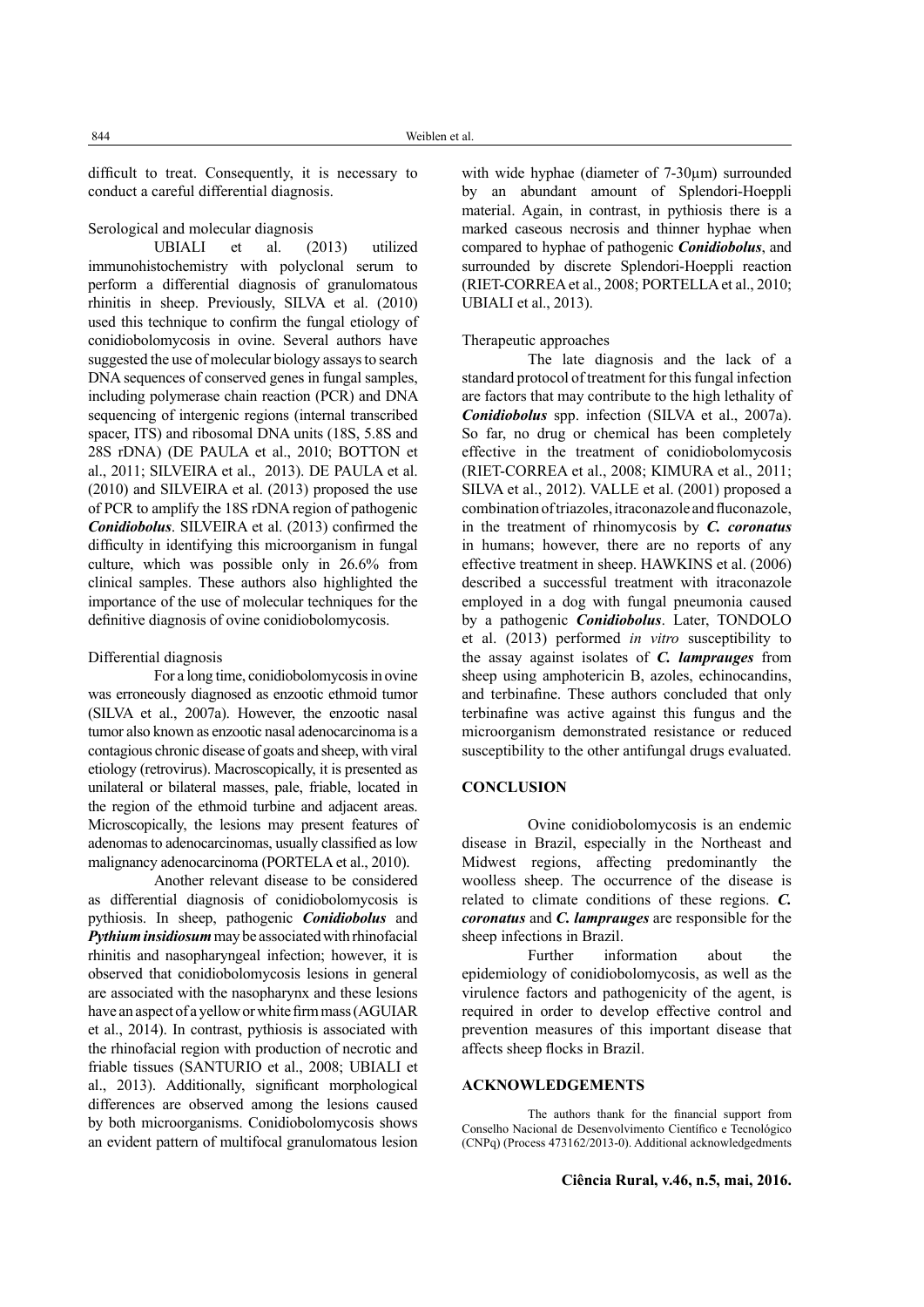difficult to treat. Consequently, it is necessary to conduct a careful differential diagnosis.

Serological and molecular diagnosis

UBIALI et al. (2013) utilized immunohistochemistry with polyclonal serum to perform a differential diagnosis of granulomatous rhinitis in sheep. Previously, SILVA et al. (2010) used this technique to confirm the fungal etiology of conidiobolomycosis in ovine. Several authors have suggested the use of molecular biology assays to search DNA sequences of conserved genes in fungal samples, including polymerase chain reaction (PCR) and DNA sequencing of intergenic regions (internal transcribed spacer, ITS) and ribosomal DNA units (18S, 5.8S and 28S rDNA) (DE PAULA et al., 2010; BOTTON et al., 2011; SILVEIRA et al., 2013). DE PAULA et al. (2010) and SILVEIRA et al. (2013) proposed the use of PCR to amplify the 18S rDNA region of pathogenic *Conidiobolus*. SILVEIRA et al. (2013) confirmed the difficulty in identifying this microorganism in fungal culture, which was possible only in 26.6% from clinical samples. These authors also highlighted the importance of the use of molecular techniques for the definitive diagnosis of ovine conidiobolomycosis.

## Differential diagnosis

For a long time, conidiobolomycosis in ovine was erroneously diagnosed as enzootic ethmoid tumor (SILVA et al., 2007a). However, the enzootic nasal tumor also known as enzootic nasal adenocarcinoma is a contagious chronic disease of goats and sheep, with viral etiology (retrovirus). Macroscopically, it is presented as unilateral or bilateral masses, pale, friable, located in the region of the ethmoid turbine and adjacent areas. Microscopically, the lesions may present features of adenomas to adenocarcinomas, usually classified as low malignancy adenocarcinoma (PORTELA et al., 2010).

Another relevant disease to be considered as differential diagnosis of conidiobolomycosis is pythiosis. In sheep, pathogenic *Conidiobolus* and *Pythium insidiosum* may be associated with rhinofacial rhinitis and nasopharyngeal infection; however, it is observed that conidiobolomycosis lesions in general are associated with the nasopharynx and these lesions have an aspect of a yellow or white firm mass (AGUIAR et al., 2014). In contrast, pythiosis is associated with the rhinofacial region with production of necrotic and friable tissues (SANTURIO et al., 2008; UBIALI et al., 2013). Additionally, significant morphological differences are observed among the lesions caused by both microorganisms. Conidiobolomycosis shows an evident pattern of multifocal granulomatous lesion

with wide hyphae (diameter of 7-30 $\mu$ m) surrounded by an abundant amount of Splendori-Hoeppli material. Again, in contrast, in pythiosis there is a marked caseous necrosis and thinner hyphae when compared to hyphae of pathogenic *Conidiobolus*, and surrounded by discrete Splendori-Hoeppli reaction (RIET-CORREA et al., 2008; PORTELLA et al., 2010; UBIALI et al., 2013).

#### Therapeutic approaches

The late diagnosis and the lack of a standard protocol of treatment for this fungal infection are factors that may contribute to the high lethality of *Conidiobolus* spp. infection (SILVA et al., 2007a). So far, no drug or chemical has been completely effective in the treatment of conidiobolomycosis (RIET-CORREA et al., 2008; KIMURA et al., 2011; SILVA et al., 2012). VALLE et al. (2001) proposed a combination of triazoles, itraconazole and fluconazole, in the treatment of rhinomycosis by *C. coronatus* in humans; however, there are no reports of any effective treatment in sheep. HAWKINS et al. (2006) described a successful treatment with itraconazole employed in a dog with fungal pneumonia caused by a pathogenic *Conidiobolus*. Later, TONDOLO et al. (2013) performed *in vitro* susceptibility to the assay against isolates of *C. lamprauges* from sheep using amphotericin B, azoles, echinocandins, and terbinafine. These authors concluded that only terbinafine was active against this fungus and the microorganism demonstrated resistance or reduced susceptibility to the other antifungal drugs evaluated.

# **CONCLUSION**

Ovine conidiobolomycosis is an endemic disease in Brazil, especially in the Northeast and Midwest regions, affecting predominantly the woolless sheep. The occurrence of the disease is related to climate conditions of these regions. *C. coronatus* and *C. lamprauges* are responsible for the sheep infections in Brazil.

Further information about the epidemiology of conidiobolomycosis, as well as the virulence factors and pathogenicity of the agent, is required in order to develop effective control and prevention measures of this important disease that affects sheep flocks in Brazil.

#### **ACKNOWLEDGEMENTS**

The authors thank for the financial support from Conselho Nacional de Desenvolvimento Científico e Tecnológico (CNPq) (Process 473162/2013-0). Additional acknowledgedments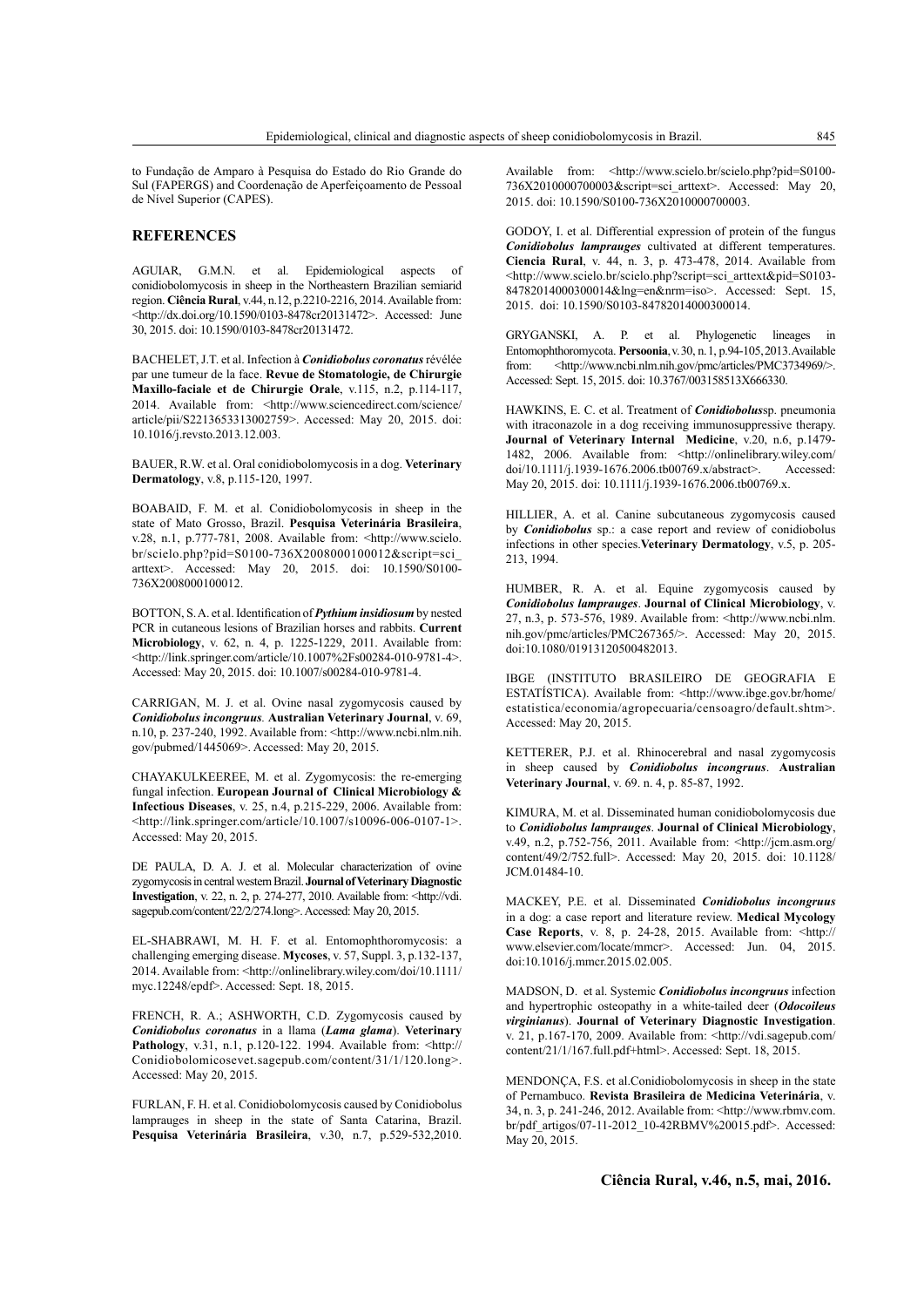to Fundação de Amparo à Pesquisa do Estado do Rio Grande do Sul (FAPERGS) and Coordenação de Aperfeiçoamento de Pessoal de Nível Superior (CAPES).

## **REFERENCES**

AGUIAR, G.M.N. et al. Epidemiological aspects of conidiobolomycosis in sheep in the Northeastern Brazilian semiarid region. **Ciência Rural**, v.44, n.12, p.2210-2216, 2014. Available from: <http://dx.doi.org/10.1590/0103-8478cr20131472>. Accessed: June 30, 2015. doi: 10.1590/0103-8478cr20131472.

BACHELET, J.T. et al. Infection à *Conidiobolus coronatus* révélée par une tumeur de la face. **Revue de Stomatologie, de Chirurgie Maxillo-faciale et de Chirurgie Orale**, v.115, n.2, p.114-117, 2014. Available from: <http://www.sciencedirect.com/science/ article/pii/S2213653313002759>. Accessed: May 20, 2015. doi: 10.1016/j.revsto.2013.12.003.

BAUER, R.W. et al. Oral conidiobolomycosis in a dog. **Veterinary Dermatology**, v.8, p.115-120, 1997.

BOABAID, F. M. et al. Conidiobolomycosis in sheep in the state of Mato Grosso, Brazil. **Pesquisa Veterinária Brasileira**, v.28, n.1, p.777-781, 2008. Available from: <http://www.scielo. br/scielo.php?pid=S0100-736X2008000100012&script=sci\_ arttext>. Accessed: May 20, 2015. doi: 10.1590/S0100- 736X2008000100012.

BOTTON, S. A. et al. Identification of *Pythium insidiosum* by nested PCR in cutaneous lesions of Brazilian horses and rabbits. **Current Microbiology**, v. 62, n. 4, p. 1225-1229, 2011. Available from: <http://link.springer.com/article/10.1007%2Fs00284-010-9781-4>. Accessed: May 20, 2015. doi: 10.1007/s00284-010-9781-4.

CARRIGAN, M. J. et al. Ovine nasal zygomycosis caused by *Conidiobolus incongruus.* **Australian Veterinary Journal**, v. 69, n.10, p. 237-240, 1992. Available from: <http://www.ncbi.nlm.nih. gov/pubmed/1445069>. Accessed: May 20, 2015.

CHAYAKULKEEREE, M. et al. Zygomycosis: the re-emerging fungal infection. **European Journal of Clinical Microbiology & Infectious Diseases**, v. 25, n.4, p.215-229, 2006. Available from: <http://link.springer.com/article/10.1007/s10096-006-0107-1>. Accessed: May 20, 2015.

DE PAULA, D. A. J. et al. Molecular characterization of ovine zygomycosis in central western Brazil. **Journal of Veterinary Diagnostic Investigation**, v. 22, n. 2, p. 274-277, 2010. Available from: <http://vdi. sagepub.com/content/22/2/274.long>. Accessed: May 20, 2015.

EL-SHABRAWI, M. H. F. et al. Entomophthoromycosis: a challenging emerging disease. **Mycoses**, v. 57, Suppl. 3, p.132-137, 2014. Available from: <http://onlinelibrary.wiley.com/doi/10.1111/ myc.12248/epdf>. Accessed: Sept. 18, 2015.

FRENCH, R. A.; ASHWORTH, C.D. Zygomycosis caused by *Conidiobolus coronatus* in a llama (*Lama glama*). **Veterinary Pathology**, v.31, n.1, p.120-122. 1994. Available from: <http:// Conidiobolomicosevet.sagepub.com/content/31/1/120.long>. Accessed: May 20, 2015.

FURLAN, F. H. et al. Conidiobolomycosis caused by Conidiobolus lamprauges in sheep in the state of Santa Catarina, Brazil. **Pesquisa Veterinária Brasileira**, v.30, n.7, p.529-532,2010.

Available from: <http://www.scielo.br/scielo.php?pid=S0100- 736X2010000700003&script=sci\_arttext>. Accessed: May 20, 2015. doi: 10.1590/S0100-736X2010000700003.

GODOY, I. et al. Differential expression of protein of the fungus *Conidiobolus lamprauges* cultivated at different temperatures. **Ciencia Rural**, v. 44, n. 3, p. 473-478, 2014. Available from <http://www.scielo.br/scielo.php?script=sci\_arttext&pid=S0103- 84782014000300014&lng=en&nrm=iso>. Accessed: Sept. 15, 2015. doi: 10.1590/S0103-84782014000300014.

GRYGANSKI, A. P. et al. Phylogenetic lineages in Entomophthoromycota. **Persoonia**, v. 30, n. 1, p.94-105, 2013. Available from: <http://www.ncbi.nlm.nih.gov/pmc/articles/PMC3734969/>. Accessed: Sept. 15, 2015. doi: 10.3767/003158513X666330.

HAWKINS, E. C. et al. Treatment of *Conidiobolus*sp. pneumonia with itraconazole in a dog receiving immunosuppressive therapy. **Journal of Veterinary Internal Medicine**, v.20, n.6, p.1479- 1482, 2006. Available from: <http://onlinelibrary.wiley.com/ doi/10.1111/j.1939-1676.2006.tb00769.x/abstract>. Accessed: May 20, 2015. doi: 10.1111/j.1939-1676.2006.tb00769.x.

HILLIER, A. et al. Canine subcutaneous zygomycosis caused by *Conidiobolus* sp.: a case report and review of conidiobolus infections in other species.**Veterinary Dermatology**, v.5, p. 205- 213, 1994.

HUMBER, R. A. et al. Equine zygomycosis caused by *Conidiobolus lamprauges*. **Journal of Clinical Microbiology**, v. 27, n.3, p. 573-576, 1989. Available from: <http://www.ncbi.nlm. nih.gov/pmc/articles/PMC267365/>. Accessed: May 20, 2015. doi:10.1080/01913120500482013.

IBGE (INSTITUTO BRASILEIRO DE GEOGRAFIA E ESTATÍSTICA). Available from: <http://www.ibge.gov.br/home/ estatistica/economia/agropecuaria/censoagro/default.shtm>. Accessed: May 20, 2015.

KETTERER, P.J. et al. Rhinocerebral and nasal zygomycosis in sheep caused by *Conidiobolus incongruus*. **Australian Veterinary Journal**, v. 69. n. 4, p. 85-87, 1992.

KIMURA, M. et al. Disseminated human conidiobolomycosis due to *Conidiobolus lamprauges*. **Journal of Clinical Microbiology**, v.49, n.2, p.752-756, 2011. Available from: <http://jcm.asm.org/ content/49/2/752.full>. Accessed: May 20, 2015. doi: 10.1128/ JCM.01484-10.

MACKEY, P.E. et al. Disseminated *Conidiobolus incongruus* in a dog: a case report and literature review. **Medical Mycology Case Reports**, v. 8, p. 24-28, 2015. Available from: <http:// www.elsevier.com/locate/mmcr>. Accessed: Jun. 04, 2015. doi:10.1016/j.mmcr.2015.02.005.

MADSON, D. et al. Systemic *Conidiobolus incongruus* infection and hypertrophic osteopathy in a white-tailed deer (*Odocoileus virginianus*). **Journal of Veterinary Diagnostic Investigation**. v. 21, p.167-170, 2009. Available from: <http://vdi.sagepub.com/ content/21/1/167.full.pdf+html>. Accessed: Sept. 18, 2015.

MENDONÇA, F.S. et al.Conidiobolomycosis in sheep in the state of Pernambuco. **Revista Brasileira de Medicina Veterinária**, v. 34, n. 3, p. 241-246, 2012. Available from: <http://www.rbmv.com. br/pdf\_artigos/07-11-2012\_10-42RBMV%20015.pdf>. Accessed: May 20, 2015.